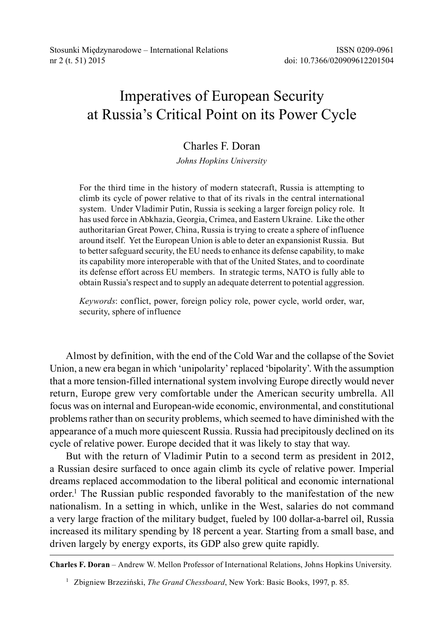# Imperatives of European Security at Russia's Critical Point on its Power Cycle

## Charles F. Doran

*Johns Hopkins University*

For the third time in the history of modern statecraft, Russia is attempting to climb its cycle of power relative to that of its rivals in the central international system. Under Vladimir Putin, Russia is seeking a larger foreign policy role. It has used force in Abkhazia, Georgia, Crimea, and Eastern Ukraine. Like the other authoritarian Great Power, China, Russia is trying to create a sphere of influence around itself. Yet the European Union is able to deter an expansionist Russia. But to better safeguard security, the EU needs to enhance its defense capability, to make its capability more interoperable with that of the United States, and to coordinate its defense effort across EU members. In strategic terms, NATO is fully able to obtain Russia's respect and to supply an adequate deterrent to potential aggression.

*Keywords*: conflict, power, foreign policy role, power cycle, world order, war, security, sphere of influence

Almost by definition, with the end of the Cold War and the collapse of the Soviet Union, a new era began in which 'unipolarity' replaced 'bipolarity'. With the assumption that a more tension-filled international system involving Europe directly would never return, Europe grew very comfortable under the American security umbrella. All focus was on internal and European-wide economic, environmental, and constitutional problems rather than on security problems, which seemed to have diminished with the appearance of a much more quiescent Russia. Russia had precipitously declined on its cycle of relative power. Europe decided that it was likely to stay that way.

But with the return of Vladimir Putin to a second term as president in 2012, a Russian desire surfaced to once again climb its cycle of relative power. Imperial dreams replaced accommodation to the liberal political and economic international order.<sup>1</sup> The Russian public responded favorably to the manifestation of the new nationalism. In a setting in which, unlike in the West, salaries do not command a very large fraction of the military budget, fueled by 100 dollar-a-barrel oil, Russia increased its military spending by 18 percent a year. Starting from a small base, and driven largely by energy exports, its GDP also grew quite rapidly.

**Charles F. Doran** – Andrew W. Mellon Professor of International Relations, Johns Hopkins University.

<sup>&</sup>lt;sup>1</sup> Zbigniew Brzeziński, *The Grand Chessboard*, New York: Basic Books, 1997, p. 85.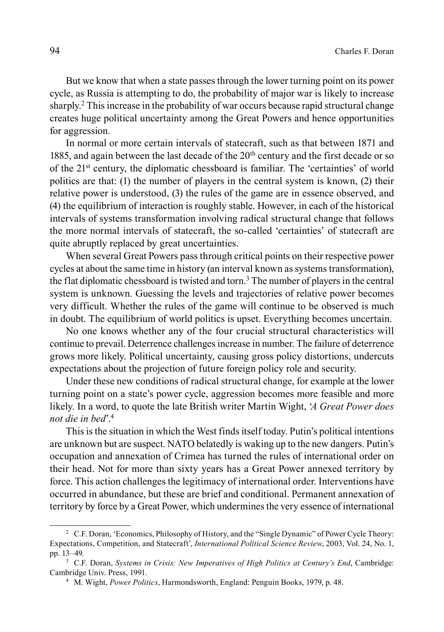But we know that when a state passes through the lower turning point on its power cycle, as Russia is attempting to do, the probability of major war is likely to increase sharply.<sup>2</sup> This increase in the probability of war occurs because rapid structural change creates huge political uncertainty among the Great Powers and hence opportunities for aggression.

In normal or more certain intervals of statecraft, such as that between 1871 and 1885, and again between the last decade of the 20<sup>th</sup> century and the first decade or so of the 21st century, the diplomatic chessboard is familiar. The 'certainties' of world politics are that: (1) the number of players in the central system is known, (2) their relative power is understood, (3) the rules of the game are in essence observed, and (4) the equilibrium of interaction is roughly stable. However, in each of the historical intervals of systems transformation involving radical structural change that follows the more normal intervals of statecraft, the so-called 'certainties' of statecraft are quite abruptly replaced by great uncertainties.

When several Great Powers pass through critical points on their respective power cycles at about the same time in history (an interval known as systems transformation), the flat diplomatic chessboard is twisted and torn.<sup>3</sup> The number of players in the central system is unknown. Guessing the levels and trajectories of relative power becomes very difficult. Whether the rules of the game will continue to be observed is much in doubt. The equilibrium of world politics is upset. Everything becomes uncertain.

No one knows whether any of the four crucial structural characteristics will continue to prevail. Deterrence challenges increase in number. The failure of deterrence grows more likely. Political uncertainty, causing gross policy distortions, undercuts expectations about the projection of future foreign policy role and security.

Under these new conditions of radical structural change, for example at the lower turning point on a state's power cycle, aggression becomes more feasible and more likely. In a word, to quote the late British writer Martin Wight, '*A Great Power does not die in bed*'.4

This is the situation in which the West finds itself today. Putin's political intentions are unknown but are suspect. NATO belatedly is waking up to the new dangers. Putin's occupation and annexation of Crimea has turned the rules of international order on their head. Not for more than sixty years has a Great Power annexed territory by force. This action challenges the legitimacy of international order. Interventions have occurred in abundance, but these are brief and conditional. Permanent annexation of territory by force by a Great Power, which undermines the very essence of international

<sup>2</sup> C.F. Doran, 'Economics, Philosophy of History, and the "Single Dynamic" of Power Cycle Theory: Expectations, Competition, and Statecraft', *International Political Science Review*, 2003, Vol. 24, No. 1, pp. 13–49.

<sup>3</sup> C.F. Doran, *Systems in Crisis: New Imperatives of High Politics at Century's End*, Cambridge: Cambridge Univ. Press, 1991.

<sup>4</sup> M. Wight, *Power Politics*, Harmondsworth, England: Penguin Books, 1979, p. 48.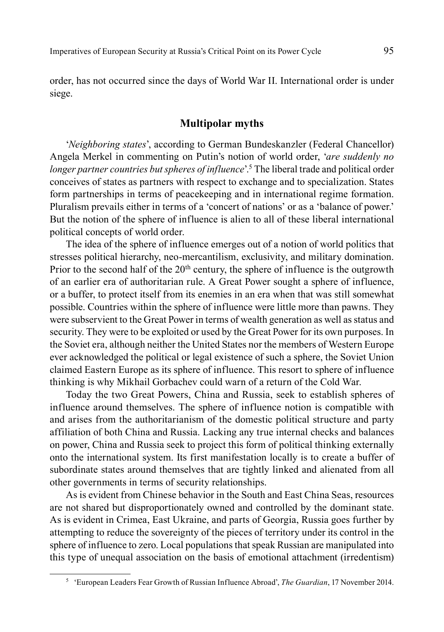order, has not occurred since the days of World War II. International order is under siege.

#### **Multipolar myths**

'*Neighboring states*', according to German Bundeskanzler (Federal Chancellor) Angela Merkel in commenting on Putin's notion of world order, '*are suddenly no*  longer partner countries but spheres of influence<sup>' 5</sup> The liberal trade and political order conceives of states as partners with respect to exchange and to specialization. States form partnerships in terms of peacekeeping and in international regime formation. Pluralism prevails either in terms of a 'concert of nations' or as a 'balance of power.' But the notion of the sphere of influence is alien to all of these liberal international political concepts of world order.

The idea of the sphere of influence emerges out of a notion of world politics that stresses political hierarchy, neo-mercantilism, exclusivity, and military domination. Prior to the second half of the  $20<sup>th</sup>$  century, the sphere of influence is the outgrowth of an earlier era of authoritarian rule. A Great Power sought a sphere of influence, or a buffer, to protect itself from its enemies in an era when that was still somewhat possible. Countries within the sphere of influence were little more than pawns. They were subservient to the Great Power in terms of wealth generation as well as status and security. They were to be exploited or used by the Great Power for its own purposes. In the Soviet era, although neither the United States nor the members of Western Europe ever acknowledged the political or legal existence of such a sphere, the Soviet Union claimed Eastern Europe as its sphere of influence. This resort to sphere of influence thinking is why Mikhail Gorbachev could warn of a return of the Cold War.

Today the two Great Powers, China and Russia, seek to establish spheres of influence around themselves. The sphere of influence notion is compatible with and arises from the authoritarianism of the domestic political structure and party affiliation of both China and Russia. Lacking any true internal checks and balances on power, China and Russia seek to project this form of political thinking externally onto the international system. Its first manifestation locally is to create a buffer of subordinate states around themselves that are tightly linked and alienated from all other governments in terms of security relationships.

As is evident from Chinese behavior in the South and East China Seas, resources are not shared but disproportionately owned and controlled by the dominant state. As is evident in Crimea, East Ukraine, and parts of Georgia, Russia goes further by attempting to reduce the sovereignty of the pieces of territory under its control in the sphere of influence to zero. Local populations that speak Russian are manipulated into this type of unequal association on the basis of emotional attachment (irredentism)

<sup>5</sup> 'European Leaders Fear Growth of Russian Influence Abroad', *The Guardian*, 17 November 2014.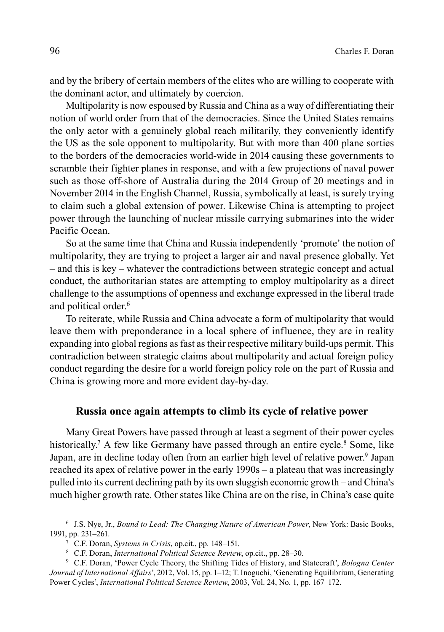and by the bribery of certain members of the elites who are willing to cooperate with the dominant actor, and ultimately by coercion.

Multipolarity is now espoused by Russia and China as a way of differentiating their notion of world order from that of the democracies. Since the United States remains the only actor with a genuinely global reach militarily, they conveniently identify the US as the sole opponent to multipolarity. But with more than 400 plane sorties to the borders of the democracies world-wide in 2014 causing these governments to scramble their fighter planes in response, and with a few projections of naval power such as those off-shore of Australia during the 2014 Group of 20 meetings and in November 2014 in the English Channel, Russia, symbolically at least, is surely trying to claim such a global extension of power. Likewise China is attempting to project power through the launching of nuclear missile carrying submarines into the wider Pacific Ocean.

So at the same time that China and Russia independently 'promote' the notion of multipolarity, they are trying to project a larger air and naval presence globally. Yet – and this is key – whatever the contradictions between strategic concept and actual conduct, the authoritarian states are attempting to employ multipolarity as a direct challenge to the assumptions of openness and exchange expressed in the liberal trade and political order.<sup>6</sup>

To reiterate, while Russia and China advocate a form of multipolarity that would leave them with preponderance in a local sphere of influence, they are in reality expanding into global regions as fast as their respective military build-ups permit. This contradiction between strategic claims about multipolarity and actual foreign policy conduct regarding the desire for a world foreign policy role on the part of Russia and China is growing more and more evident day-by-day.

#### **Russia once again attempts to climb its cycle of relative power**

Many Great Powers have passed through at least a segment of their power cycles historically.<sup>7</sup> A few like Germany have passed through an entire cycle.<sup>8</sup> Some, like Japan, are in decline today often from an earlier high level of relative power.<sup>9</sup> Japan reached its apex of relative power in the early 1990s – a plateau that was increasingly pulled into its current declining path by its own sluggish economic growth – and China's much higher growth rate. Other states like China are on the rise, in China's case quite

<sup>6</sup> J.S. Nye, Jr., *Bound to Lead: The Changing Nature of American Power*, New York: Basic Books, 1991, pp. 231–261.

<sup>7</sup> C.F. Doran, *Systems in Crisis*, op.cit., pp. 148–151.

<sup>8</sup> C.F. Doran, *International Political Science Review*, op.cit., pp. 28–30.

<sup>9</sup> C.F. Doran, 'Power Cycle Theory, the Shifting Tides of History, and Statecraft', *Bologna Center Journal of International Affairs*', 2012, Vol. 15, pp. 1–12; T. Inoguchi, 'Generating Equilibrium, Generating Power Cycles', *International Political Science Review*, 2003, Vol. 24, No. 1, pp. 167–172.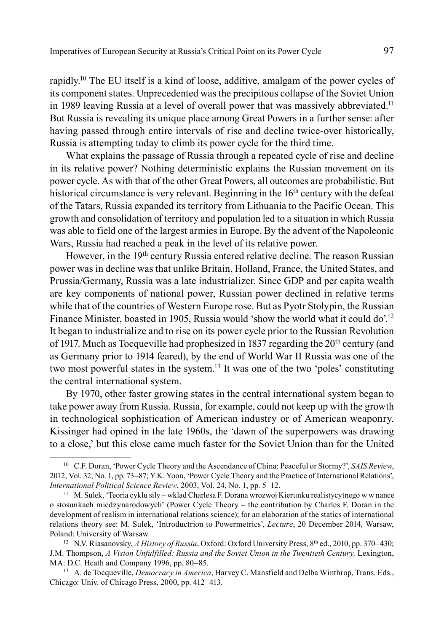rapidly.10 The EU itself is a kind of loose, additive, amalgam of the power cycles of its component states. Unprecedented was the precipitous collapse of the Soviet Union in 1989 leaving Russia at a level of overall power that was massively abbreviated.11 But Russia is revealing its unique place among Great Powers in a further sense: after having passed through entire intervals of rise and decline twice-over historically, Russia is attempting today to climb its power cycle for the third time.

What explains the passage of Russia through a repeated cycle of rise and decline in its relative power? Nothing deterministic explains the Russian movement on its power cycle. As with that of the other Great Powers, all outcomes are probabilistic. But historical circumstance is very relevant. Beginning in the 16<sup>th</sup> century with the defeat of the Tatars, Russia expanded its territory from Lithuania to the Pacific Ocean. This growth and consolidation of territory and population led to a situation in which Russia was able to field one of the largest armies in Europe. By the advent of the Napoleonic Wars, Russia had reached a peak in the level of its relative power.

However, in the 19th century Russia entered relative decline. The reason Russian power was in decline was that unlike Britain, Holland, France, the United States, and Prussia/Germany, Russia was a late industrializer. Since GDP and per capita wealth are key components of national power, Russian power declined in relative terms while that of the countries of Western Europe rose. But as Pyotr Stolypin, the Russian Finance Minister, boasted in 1905, Russia would 'show the world what it could do'.<sup>12</sup> It began to industrialize and to rise on its power cycle prior to the Russian Revolution of 1917. Much as Tocqueville had prophesized in 1837 regarding the  $20<sup>th</sup>$  century (and as Germany prior to 1914 feared), by the end of World War II Russia was one of the two most powerful states in the system.13 It was one of the two 'poles' constituting the central international system.

By 1970, other faster growing states in the central international system began to take power away from Russia. Russia, for example, could not keep up with the growth in technological sophistication of American industry or of American weaponry. Kissinger had opined in the late 1960s, the 'dawn of the superpowers was drawing to a close,' but this close came much faster for the Soviet Union than for the United

<sup>10</sup> C.F. Doran, 'Power Cycle Theory and the Ascendance of China: Peaceful or Stormy?', *SAIS Review*, 2012, Vol. 32, No. 1, pp. 73–87; Y.K. Yoon, 'Power Cycle Theory and the Practice of International Relations', *International Political Science Review*, 2003, Vol. 24, No. 1, pp. 5–12.

<sup>11</sup> M. Sulek, 'Teoria cyklu sily – wklad Charlesa F. Dorana wrozwoj Kierunku realistycytnego w w nance o stosunkach miedzynarodowych' (Power Cycle Theory – the contribution by Charles F. Doran in the development of realism in international relations science); for an elaboration of the statics of international relations theory see: M. Sulek, 'Introductrion to Powermetrics', *Lecture*, 20 December 2014, Warsaw, Poland: University of Warsaw.

<sup>12</sup> N.V. Riasanovsky, *A History of Russia*, Oxford: Oxford University Press, 8th ed., 2010, pp. 370–430; J.M. Thompson, *A Vision Unfulfilled: Russia and the Soviet Union in the Twentieth Century,* Lexington, MA: D.C. Heath and Company 1996, pp. 80–85.

<sup>13</sup> A. de Tocqueville, *Democracy in America*, Harvey C. Mansfield and Delba Winthrop, Trans. Eds., Chicago: Univ. of Chicago Press, 2000, pp. 412–413.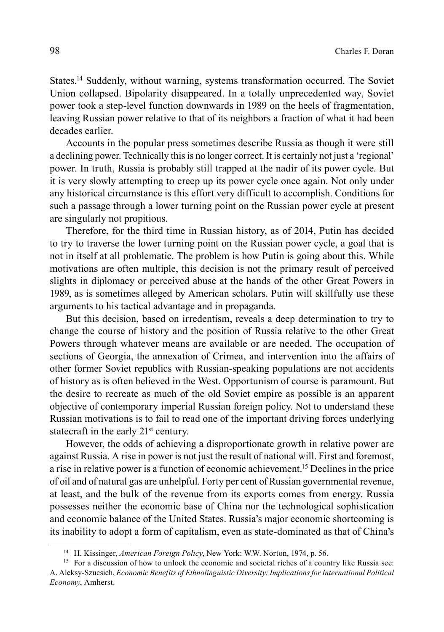States.14 Suddenly, without warning, systems transformation occurred. The Soviet Union collapsed. Bipolarity disappeared. In a totally unprecedented way, Soviet power took a step-level function downwards in 1989 on the heels of fragmentation, leaving Russian power relative to that of its neighbors a fraction of what it had been decades earlier.

Accounts in the popular press sometimes describe Russia as though it were still a declining power. Technically this is no longer correct. It is certainly not just a 'regional' power. In truth, Russia is probably still trapped at the nadir of its power cycle. But it is very slowly attempting to creep up its power cycle once again. Not only under any historical circumstance is this effort very difficult to accomplish. Conditions for such a passage through a lower turning point on the Russian power cycle at present are singularly not propitious.

Therefore, for the third time in Russian history, as of 2014, Putin has decided to try to traverse the lower turning point on the Russian power cycle, a goal that is not in itself at all problematic. The problem is how Putin is going about this. While motivations are often multiple, this decision is not the primary result of perceived slights in diplomacy or perceived abuse at the hands of the other Great Powers in 1989, as is sometimes alleged by American scholars. Putin will skillfully use these arguments to his tactical advantage and in propaganda.

But this decision, based on irredentism, reveals a deep determination to try to change the course of history and the position of Russia relative to the other Great Powers through whatever means are available or are needed. The occupation of sections of Georgia, the annexation of Crimea, and intervention into the affairs of other former Soviet republics with Russian-speaking populations are not accidents of history as is often believed in the West. Opportunism of course is paramount. But the desire to recreate as much of the old Soviet empire as possible is an apparent objective of contemporary imperial Russian foreign policy. Not to understand these Russian motivations is to fail to read one of the important driving forces underlying statecraft in the early 21<sup>st</sup> century.

However, the odds of achieving a disproportionate growth in relative power are against Russia. A rise in power is not just the result of national will. First and foremost, a rise in relative power is a function of economic achievement.15 Declines in the price of oil and of natural gas are unhelpful. Forty per cent of Russian governmental revenue, at least, and the bulk of the revenue from its exports comes from energy. Russia possesses neither the economic base of China nor the technological sophistication and economic balance of the United States. Russia's major economic shortcoming is its inability to adopt a form of capitalism, even as state-dominated as that of China's

<sup>14</sup> H. Kissinger, *American Foreign Policy*, New York: W.W. Norton, 1974, p. 56.

<sup>&</sup>lt;sup>15</sup> For a discussion of how to unlock the economic and societal riches of a country like Russia see: A. Aleksy-Szucsich, *Economic Benefits of Ethnolinguistic Diversity: Implications for International Political Economy*, Amherst.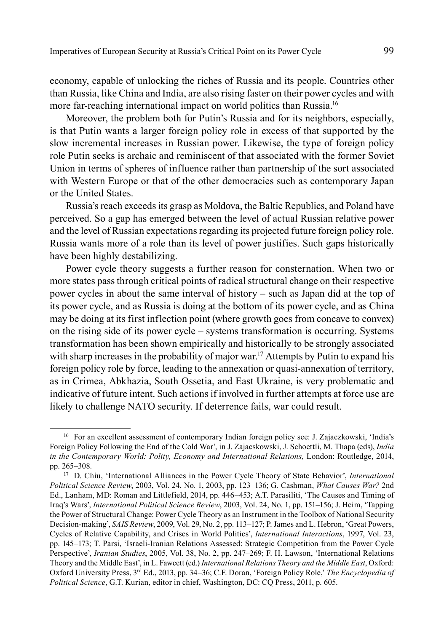economy, capable of unlocking the riches of Russia and its people. Countries other than Russia, like China and India, are also rising faster on their power cycles and with more far-reaching international impact on world politics than Russia.<sup>16</sup>

Moreover, the problem both for Putin's Russia and for its neighbors, especially, is that Putin wants a larger foreign policy role in excess of that supported by the slow incremental increases in Russian power. Likewise, the type of foreign policy role Putin seeks is archaic and reminiscent of that associated with the former Soviet Union in terms of spheres of influence rather than partnership of the sort associated with Western Europe or that of the other democracies such as contemporary Japan or the United States.

Russia's reach exceeds its grasp as Moldova, the Baltic Republics, and Poland have perceived. So a gap has emerged between the level of actual Russian relative power and the level of Russian expectations regarding its projected future foreign policy role. Russia wants more of a role than its level of power justifies. Such gaps historically have been highly destabilizing.

Power cycle theory suggests a further reason for consternation. When two or more states pass through critical points of radical structural change on their respective power cycles in about the same interval of history – such as Japan did at the top of its power cycle, and as Russia is doing at the bottom of its power cycle, and as China may be doing at its first inflection point (where growth goes from concave to convex) on the rising side of its power cycle – systems transformation is occurring. Systems transformation has been shown empirically and historically to be strongly associated with sharp increases in the probability of major war.<sup>17</sup> Attempts by Putin to expand his foreign policy role by force, leading to the annexation or quasi-annexation of territory, as in Crimea, Abkhazia, South Ossetia, and East Ukraine, is very problematic and indicative of future intent. Such actions if involved in further attempts at force use are likely to challenge NATO security. If deterrence fails, war could result.

<sup>&</sup>lt;sup>16</sup> For an excellent assessment of contemporary Indian foreign policy see: J. Zajaczkowski, 'India's Foreign Policy Following the End of the Cold War', in J. Zajacskowski, J. Schoettli, M. Thapa (eds), *India in the Contemporary World: Polity, Economy and International Relations, London: Routledge, 2014,* pp. 265–308*.*

<sup>17</sup> D. Chiu, 'International Alliances in the Power Cycle Theory of State Behavior', *International Political Science Review*, 2003, Vol. 24, No. 1, 2003, pp. 123–136; G. Cashman, *What Causes War?* 2nd Ed., Lanham, MD: Roman and Littlefield, 2014, pp. 446–453; A.T. Parasiliti, 'The Causes and Timing of Iraq's Wars', *International Political Science Review*, 2003, Vol. 24, No. 1, pp. 151–156; J. Heim, 'Tapping the Power of Structural Change: Power Cycle Theory as an Instrument in the Toolbox of National Security Decision-making', *SAIS Review*, 2009, Vol. 29, No. 2, pp. 113–127; P. James and L. Hebron, 'Great Powers, Cycles of Relative Capability, and Crises in World Politics', *International Interactions*, 1997, Vol. 23, pp. 145–173; T. Parsi, 'Israeli-Iranian Relations Assessed: Strategic Competition from the Power Cycle Perspective', *Iranian Studies*, 2005, Vol. 38, No. 2, pp. 247–269; F. H. Lawson, 'International Relations Theory and the Middle East', in L. Fawcett (ed.) *International Relations Theory and the Middle East*, Oxford: Oxford University Press, 3rd Ed., 2013, pp. 34–36; C.F. Doran, 'Foreign Policy Role,' *The Encyclopedia of Political Science*, G.T. Kurian, editor in chief, Washington, DC: CQ Press, 2011, p. 605.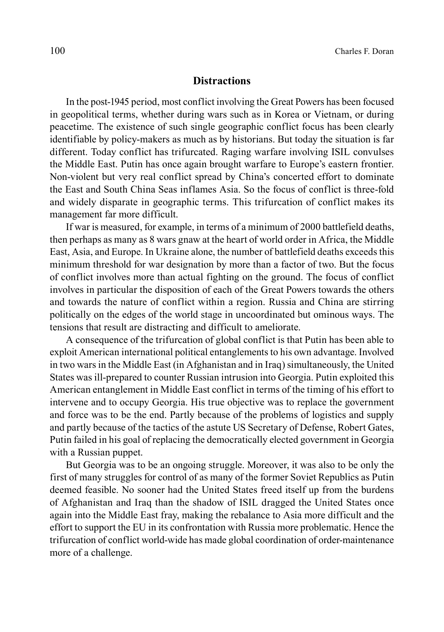#### **Distractions**

In the post-1945 period, most conflict involving the Great Powers has been focused in geopolitical terms, whether during wars such as in Korea or Vietnam, or during peacetime. The existence of such single geographic conflict focus has been clearly identifiable by policy-makers as much as by historians. But today the situation is far different. Today conflict has trifurcated. Raging warfare involving ISIL convulses the Middle East. Putin has once again brought warfare to Europe's eastern frontier. Non-violent but very real conflict spread by China's concerted effort to dominate the East and South China Seas inflames Asia. So the focus of conflict is three-fold and widely disparate in geographic terms. This trifurcation of conflict makes its management far more difficult.

If war is measured, for example, in terms of a minimum of 2000 battlefield deaths, then perhaps as many as 8 wars gnaw at the heart of world order in Africa, the Middle East, Asia, and Europe. In Ukraine alone, the number of battlefield deaths exceeds this minimum threshold for war designation by more than a factor of two. But the focus of conflict involves more than actual fighting on the ground. The focus of conflict involves in particular the disposition of each of the Great Powers towards the others and towards the nature of conflict within a region. Russia and China are stirring politically on the edges of the world stage in uncoordinated but ominous ways. The tensions that result are distracting and difficult to ameliorate.

A consequence of the trifurcation of global conflict is that Putin has been able to exploit American international political entanglements to his own advantage. Involved in two wars in the Middle East (in Afghanistan and in Iraq) simultaneously, the United States was ill-prepared to counter Russian intrusion into Georgia. Putin exploited this American entanglement in Middle East conflict in terms of the timing of his effort to intervene and to occupy Georgia. His true objective was to replace the government and force was to be the end. Partly because of the problems of logistics and supply and partly because of the tactics of the astute US Secretary of Defense, Robert Gates, Putin failed in his goal of replacing the democratically elected government in Georgia with a Russian puppet.

But Georgia was to be an ongoing struggle. Moreover, it was also to be only the first of many struggles for control of as many of the former Soviet Republics as Putin deemed feasible. No sooner had the United States freed itself up from the burdens of Afghanistan and Iraq than the shadow of ISIL dragged the United States once again into the Middle East fray, making the rebalance to Asia more difficult and the effort to support the EU in its confrontation with Russia more problematic. Hence the trifurcation of conflict world-wide has made global coordination of order-maintenance more of a challenge.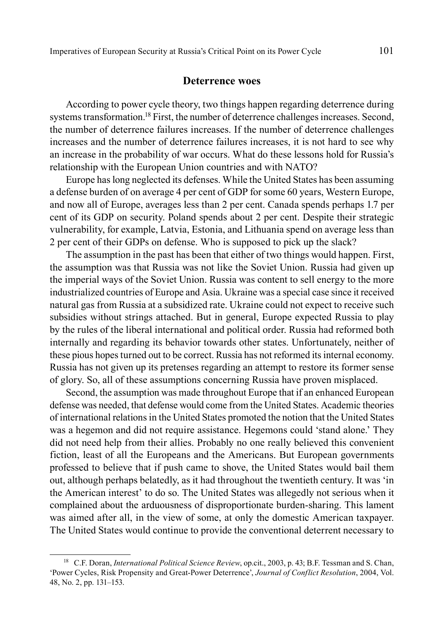#### **Deterrence woes**

According to power cycle theory, two things happen regarding deterrence during systems transformation.18 First, the number of deterrence challenges increases. Second, the number of deterrence failures increases. If the number of deterrence challenges increases and the number of deterrence failures increases, it is not hard to see why an increase in the probability of war occurs. What do these lessons hold for Russia's relationship with the European Union countries and with NATO?

Europe has long neglected its defenses. While the United States has been assuming a defense burden of on average 4 per cent of GDP for some 60 years, Western Europe, and now all of Europe, averages less than 2 per cent. Canada spends perhaps 1.7 per cent of its GDP on security. Poland spends about 2 per cent. Despite their strategic vulnerability, for example, Latvia, Estonia, and Lithuania spend on average less than 2 per cent of their GDPs on defense. Who is supposed to pick up the slack?

The assumption in the past has been that either of two things would happen. First, the assumption was that Russia was not like the Soviet Union. Russia had given up the imperial ways of the Soviet Union. Russia was content to sell energy to the more industrialized countries of Europe and Asia. Ukraine was a special case since it received natural gas from Russia at a subsidized rate. Ukraine could not expect to receive such subsidies without strings attached. But in general, Europe expected Russia to play by the rules of the liberal international and political order. Russia had reformed both internally and regarding its behavior towards other states. Unfortunately, neither of these pious hopes turned out to be correct. Russia has not reformed its internal economy. Russia has not given up its pretenses regarding an attempt to restore its former sense of glory. So, all of these assumptions concerning Russia have proven misplaced.

Second, the assumption was made throughout Europe that if an enhanced European defense was needed, that defense would come from the United States. Academic theories of international relations in the United States promoted the notion that the United States was a hegemon and did not require assistance. Hegemons could 'stand alone.' They did not need help from their allies. Probably no one really believed this convenient fiction, least of all the Europeans and the Americans. But European governments professed to believe that if push came to shove, the United States would bail them out, although perhaps belatedly, as it had throughout the twentieth century. It was 'in the American interest' to do so. The United States was allegedly not serious when it complained about the arduousness of disproportionate burden-sharing. This lament was aimed after all, in the view of some, at only the domestic American taxpayer. The United States would continue to provide the conventional deterrent necessary to

<sup>18</sup> C.F. Doran, *International Political Science Review*, op.cit., 2003, p. 43; B.F. Tessman and S. Chan, 'Power Cycles, Risk Propensity and Great-Power Deterrence', *Journal of Conflict Resolution*, 2004, Vol. 48, No. 2, pp. 131–153.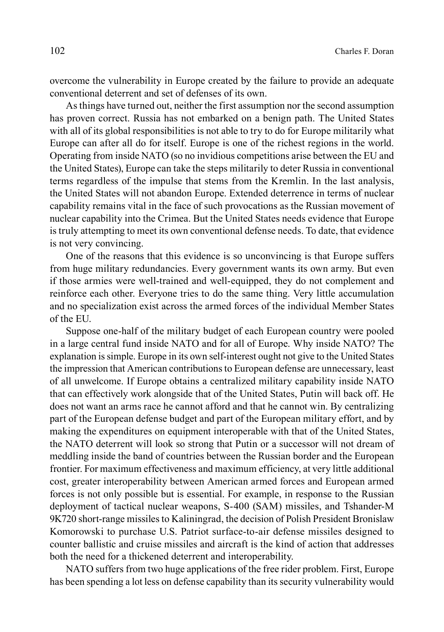overcome the vulnerability in Europe created by the failure to provide an adequate conventional deterrent and set of defenses of its own.

As things have turned out, neither the first assumption nor the second assumption has proven correct. Russia has not embarked on a benign path. The United States with all of its global responsibilities is not able to try to do for Europe militarily what Europe can after all do for itself. Europe is one of the richest regions in the world. Operating from inside NATO (so no invidious competitions arise between the EU and the United States), Europe can take the steps militarily to deter Russia in conventional terms regardless of the impulse that stems from the Kremlin. In the last analysis, the United States will not abandon Europe. Extended deterrence in terms of nuclear capability remains vital in the face of such provocations as the Russian movement of nuclear capability into the Crimea. But the United States needs evidence that Europe is truly attempting to meet its own conventional defense needs. To date, that evidence is not very convincing.

One of the reasons that this evidence is so unconvincing is that Europe suffers from huge military redundancies. Every government wants its own army. But even if those armies were well-trained and well-equipped, they do not complement and reinforce each other. Everyone tries to do the same thing. Very little accumulation and no specialization exist across the armed forces of the individual Member States of the EU.

Suppose one-half of the military budget of each European country were pooled in a large central fund inside NATO and for all of Europe. Why inside NATO? The explanation is simple. Europe in its own self-interest ought not give to the United States the impression that American contributions to European defense are unnecessary, least of all unwelcome. If Europe obtains a centralized military capability inside NATO that can effectively work alongside that of the United States, Putin will back off. He does not want an arms race he cannot afford and that he cannot win. By centralizing part of the European defense budget and part of the European military effort, and by making the expenditures on equipment interoperable with that of the United States, the NATO deterrent will look so strong that Putin or a successor will not dream of meddling inside the band of countries between the Russian border and the European frontier. For maximum effectiveness and maximum efficiency, at very little additional cost, greater interoperability between American armed forces and European armed forces is not only possible but is essential. For example, in response to the Russian deployment of tactical nuclear weapons, S-400 (SAM) missiles, and Tshander-M 9K720 short-range missiles to Kaliningrad, the decision of Polish President Bronislaw Komorowski to purchase U.S. Patriot surface-to-air defense missiles designed to counter ballistic and cruise missiles and aircraft is the kind of action that addresses both the need for a thickened deterrent and interoperability.

NATO suffers from two huge applications of the free rider problem. First, Europe has been spending a lot less on defense capability than its security vulnerability would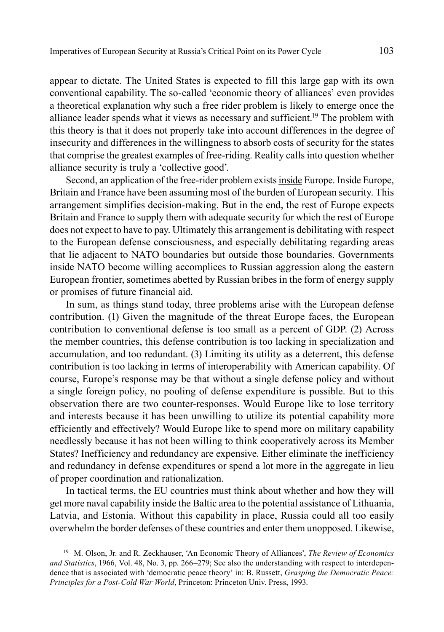appear to dictate. The United States is expected to fill this large gap with its own conventional capability. The so-called 'economic theory of alliances' even provides a theoretical explanation why such a free rider problem is likely to emerge once the alliance leader spends what it views as necessary and sufficient.19 The problem with this theory is that it does not properly take into account differences in the degree of insecurity and differences in the willingness to absorb costs of security for the states that comprise the greatest examples of free-riding. Reality calls into question whether alliance security is truly a 'collective good'.

Second, an application of the free-rider problem exists inside Europe. Inside Europe, Britain and France have been assuming most of the burden of European security. This arrangement simplifies decision-making. But in the end, the rest of Europe expects Britain and France to supply them with adequate security for which the rest of Europe does not expect to have to pay. Ultimately this arrangement is debilitating with respect to the European defense consciousness, and especially debilitating regarding areas that lie adjacent to NATO boundaries but outside those boundaries. Governments inside NATO become willing accomplices to Russian aggression along the eastern European frontier, sometimes abetted by Russian bribes in the form of energy supply or promises of future financial aid.

In sum, as things stand today, three problems arise with the European defense contribution. (1) Given the magnitude of the threat Europe faces, the European contribution to conventional defense is too small as a percent of GDP. (2) Across the member countries, this defense contribution is too lacking in specialization and accumulation, and too redundant. (3) Limiting its utility as a deterrent, this defense contribution is too lacking in terms of interoperability with American capability. Of course, Europe's response may be that without a single defense policy and without a single foreign policy, no pooling of defense expenditure is possible. But to this observation there are two counter-responses. Would Europe like to lose territory and interests because it has been unwilling to utilize its potential capability more efficiently and effectively? Would Europe like to spend more on military capability needlessly because it has not been willing to think cooperatively across its Member States? Inefficiency and redundancy are expensive. Either eliminate the inefficiency and redundancy in defense expenditures or spend a lot more in the aggregate in lieu of proper coordination and rationalization.

In tactical terms, the EU countries must think about whether and how they will get more naval capability inside the Baltic area to the potential assistance of Lithuania, Latvia, and Estonia. Without this capability in place, Russia could all too easily overwhelm the border defenses of these countries and enter them unopposed. Likewise,

<sup>19</sup> M. Olson, Jr. and R. Zeckhauser, 'An Economic Theory of Alliances', *The Review of Economics and Statistics*, 1966, Vol. 48, No. 3, pp. 266–279; See also the understanding with respect to interdependence that is associated with 'democratic peace theory' in: B. Russett, *Grasping the Democratic Peace: Principles for a Post-Cold War World*, Princeton: Princeton Univ. Press, 1993.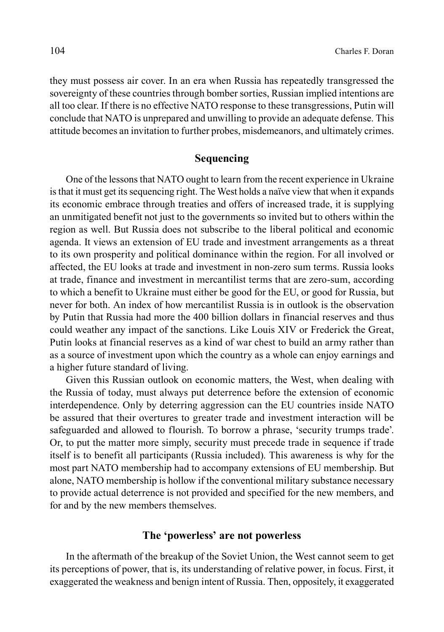they must possess air cover. In an era when Russia has repeatedly transgressed the sovereignty of these countries through bomber sorties, Russian implied intentions are all too clear. If there is no effective NATO response to these transgressions, Putin will conclude that NATO is unprepared and unwilling to provide an adequate defense. This attitude becomes an invitation to further probes, misdemeanors, and ultimately crimes.

#### **Sequencing**

One of the lessons that NATO ought to learn from the recent experience in Ukraine is that it must get its sequencing right. The West holds a naïve view that when it expands its economic embrace through treaties and offers of increased trade, it is supplying an unmitigated benefit not just to the governments so invited but to others within the region as well. But Russia does not subscribe to the liberal political and economic agenda. It views an extension of EU trade and investment arrangements as a threat to its own prosperity and political dominance within the region. For all involved or affected, the EU looks at trade and investment in non-zero sum terms. Russia looks at trade, finance and investment in mercantilist terms that are zero-sum, according to which a benefit to Ukraine must either be good for the EU, or good for Russia, but never for both. An index of how mercantilist Russia is in outlook is the observation by Putin that Russia had more the 400 billion dollars in financial reserves and thus could weather any impact of the sanctions. Like Louis XIV or Frederick the Great, Putin looks at financial reserves as a kind of war chest to build an army rather than as a source of investment upon which the country as a whole can enjoy earnings and a higher future standard of living.

Given this Russian outlook on economic matters, the West, when dealing with the Russia of today, must always put deterrence before the extension of economic interdependence. Only by deterring aggression can the EU countries inside NATO be assured that their overtures to greater trade and investment interaction will be safeguarded and allowed to flourish. To borrow a phrase, 'security trumps trade'. Or, to put the matter more simply, security must precede trade in sequence if trade itself is to benefit all participants (Russia included). This awareness is why for the most part NATO membership had to accompany extensions of EU membership. But alone, NATO membership is hollow if the conventional military substance necessary to provide actual deterrence is not provided and specified for the new members, and for and by the new members themselves.

### **The 'powerless' are not powerless**

In the aftermath of the breakup of the Soviet Union, the West cannot seem to get its perceptions of power, that is, its understanding of relative power, in focus. First, it exaggerated the weakness and benign intent of Russia. Then, oppositely, it exaggerated